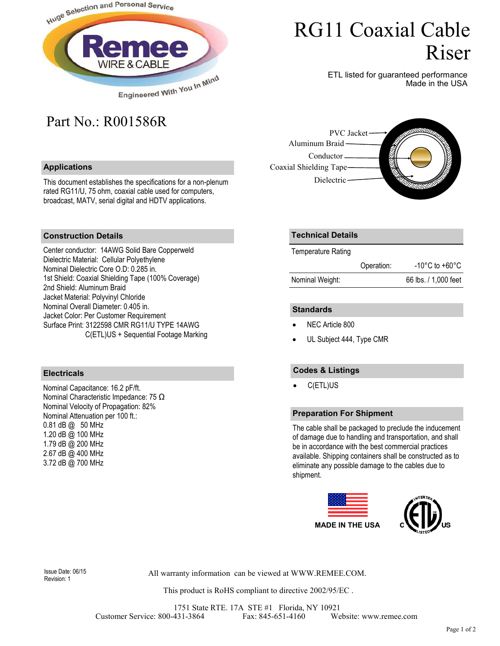

# RG11 Coaxial Cable Riser

ETL listed for guaranteed performance Made in the USA

# Part No.: R001586R

## **Applications**

This document establishes the specifications for a non-plenum rated RG11/U, 75 ohm, coaxial cable used for computers, broadcast, MATV, serial digital and HDTV applications.



#### **Construction Details**

Center conductor: 14AWG Solid Bare Copperweld Dielectric Material: Cellular Polyethylene Nominal Dielectric Core O.D: 0.285 in. 1st Shield: Coaxial Shielding Tape (100% Coverage) 2nd Shield: Aluminum Braid Jacket Material: Polyvinyl Chloride Nominal Overall Diameter: 0.405 in. Jacket Color: Per Customer Requirement Surface Print: 3122598 CMR RG11/U TYPE 14AWG C(ETL)US + Sequential Footage Marking

#### **Electricals**

Nominal Capacitance: 16.2 pF/ft. Nominal Characteristic Impedance: 75 Ω Nominal Velocity of Propagation: 82% Nominal Attenuation per 100 ft.: 0.81 dB @ 50 MHz 1.20 dB @ 100 MHz 1.79 dB @ 200 MHz 2.67 dB @ 400 MHz 3.72 dB @ 700 MHz

## **Technical Details**

Temperature Rating

|                 | Operation: | $-10^{\circ}$ C to $+60^{\circ}$ C |
|-----------------|------------|------------------------------------|
| Nominal Weight: |            | 66 lbs. / 1,000 feet               |

#### **Standards**

- NEC Article 800
- UL Subject 444, Type CMR

## **Codes & Listings**

• C(ETL)US

#### **Preparation For Shipment**

The cable shall be packaged to preclude the inducement of damage due to handling and transportation, and shall be in accordance with the best commercial practices available. Shipping containers shall be constructed as to eliminate any possible damage to the cables due to shipment.





All warranty information can be viewed at WWW.REMEE.COM. Issue Date: 06/15

This product is RoHS compliant to directive 2002/95/EC .

1751 State RTE. 17A STE #1 Florida, NY 10921 Customer Service: 800-431-3864 Fax: 845-651-4160 Website: www.remee.com